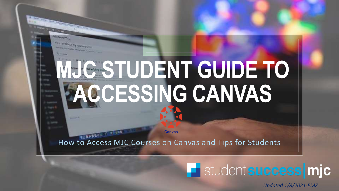AN'S DIFORMADE BON FORM MANU

**Hold New Port** 

# **MJC STUDENT GUIDE TO ACCESSING CANVAS**

**Canvas** 

How to Access MJC Courses on Canvas and Tips for Students

### **F** student success mjc

*Updated 1/8/2021-EMZ*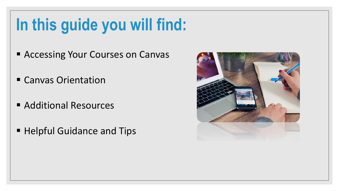## **In this guide you will find:**

- **E** Accessing Your Courses on Canvas
- Canvas Orientation
- Additional Resources
- Helpful Guidance and Tips

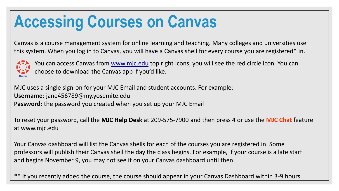### **Accessing Courses on Canvas**

Canvas is a course management system for online learning and teaching. Many colleges and universities use this system. When you log in to Canvas, you will have a Canvas shell for every course you are registered\* in.



You can access Canvas from [www.mjc.edu](http://www.mjc.edu/) top right icons, you will see the red circle icon. You can choose to download the Canvas app if you'd like.

MJC uses a single sign-on for your MJC Email and student accounts. For example: **Username**: jane456789@my.yosemite.edu **Password**: the password you created when you set up your MJC Email

To reset your password, call the **MJC Help Desk** at 209-575-7900 and then press 4 or use the **MJC Chat** feature at [www.mjc.edu](http://www.mjc.edu/)

Your Canvas dashboard will list the Canvas shells for each of the courses you are registered in. Some professors will publish their Canvas shell the day the class begins. For example, if your course is a late start and begins November 9, you may not see it on your Canvas dashboard until then.

\*\* If you recently added the course, the course should appear in your Canvas Dashboard within 3-9 hours.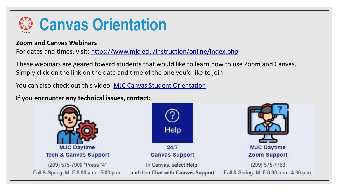

#### **Zoom and Canvas Webinars**

For dates and times, visit: <https://www.mjc.edu/instruction/online/index.php>

These webinars are geared toward students that would like to learn how to use Zoom and Canvas. Simply click on the link on the date and time of the one you'd like to join.

You can also check out this video: [MJC Canvas Student Orientation](https://www.youtube.com/watch?v=o3J17lY57TU&feature=youtu.be)

**If you encounter any technical issues, contact:**





In Canvas, select Help and then Chat with Canvas Support



Fall & Spring: M-F 8:00 a.m.-4:30 p.m.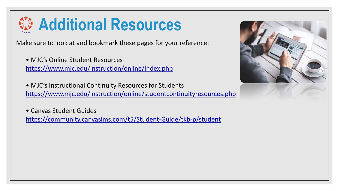

Make sure to look at and bookmark these pages for your reference:

• MJC's Online Student Resources <https://www.mjc.edu/instruction/online/index.php>

• MJC's Instructional Continuity Resources for Students <https://www.mjc.edu/instruction/online/studentcontinuityresources.php>

• Canvas Student Guides <https://community.canvaslms.com/t5/Student-Guide/tkb-p/student>

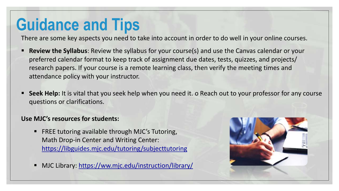There are some key aspects you need to take into account in order to do well in your online courses.

- **Review the Syllabus**: Review the syllabus for your course(s) and use the Canvas calendar or your preferred calendar format to keep track of assignment due dates, tests, quizzes, and projects/ research papers. If your course is a remote learning class, then verify the meeting times and attendance policy with your instructor.
- **EXEE:** Seek Help: It is vital that you seek help when you need it. o Reach out to your professor for any course questions or clarifications.

#### **Use MJC's resources for students:**

- FREE tutoring available through MJC's Tutoring, Math Drop-in Center and Writing Center: <https://libguides.mjc.edu/tutoring/subjecttutoring>
- MJC Library: <https://ww.mjc.edu/instruction/library/>

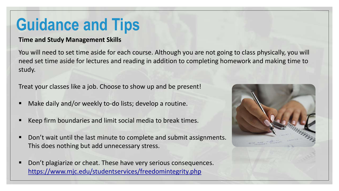#### **Time and Study Management Skills**

You will need to set time aside for each course. Although you are not going to class physically, you will need set time aside for lectures and reading in addition to completing homework and making time to study.

Treat your classes like a job. Choose to show up and be present!

- Make daily and/or weekly to-do lists; develop a routine.
- Keep firm boundaries and limit social media to break times.
- Don't wait until the last minute to complete and submit assignments. This does nothing but add unnecessary stress.
- Don't plagiarize or cheat. These have very serious consequences. <https://www.mjc.edu/studentservices/freedomintegrity.php>

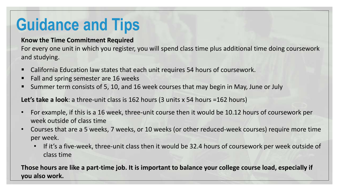#### **Know the Time Commitment Required**

For every one unit in which you register, you will spend class time plus additional time doing coursework and studying.

- California Education law states that each unit requires 54 hours of coursework.
- Fall and spring semester are 16 weeks
- Summer term consists of 5, 10, and 16 week courses that may begin in May, June or July

**Let's take a look**: a three-unit class is 162 hours (3 units x 54 hours =162 hours)

- For example, if this is a 16 week, three-unit course then it would be 10.12 hours of coursework per week outside of class time
- Courses that are a 5 weeks, 7 weeks, or 10 weeks (or other reduced-week courses) require more time per week.
	- If it's a five-week, three-unit class then it would be 32.4 hours of coursework per week outside of class time

**Those hours are like a part-time job. It is important to balance your college course load, especially if you also work.**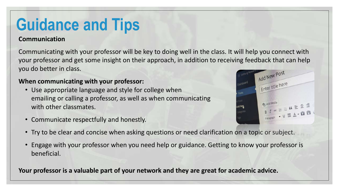#### **Communication**

Communicating with your professor will be key to doing well in the class. It will help you connect with your professor and get some insight on their approach, in addition to receiving feedback that can help you do better in class. Add New Post

Enter title here

#### **When communicating with your professor:**

- Use appropriate language and style for college when emailing or calling a professor, as well as when communicating with other classmates.
- Communicate respectfully and honestly.
- Try to be clear and concise when asking questions or need clarification on a topic or subject.
- Engage with your professor when you need help or guidance. Getting to know your professor is beneficial.

**Your professor is a valuable part of your network and they are great for academic advice.**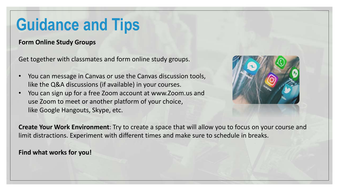**Form Online Study Groups**

Get together with classmates and form online study groups.

- You can message in Canvas or use the Canvas discussion tools, like the Q&A discussions (if available) in your courses.
- You can sign up for a free Zoom account at www.Zoom.us and use Zoom to meet or another platform of your choice, like Google Hangouts, Skype, etc.



**Create Your Work Environment**: Try to create a space that will allow you to focus on your course and limit distractions. Experiment with different times and make sure to schedule in breaks.

**Find what works for you!**